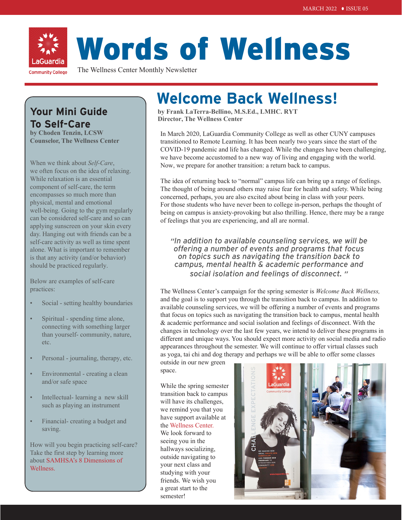

# Words of Wellness

The Wellness Center Monthly Newsletter

# **Your Mini Guide To Self-Care**

**by Choden Tenzin, LCSW Counselor, The Wellness Center**

When we think about *Self-Care*, we often focus on the idea of relaxing. While relaxation is an essential component of self-care, the term encompasses so much more than physical, mental and emotional well-being. Going to the gym regularly can be considered self-care and so can applying sunscreen on your skin every day. Hanging out with friends can be a self-care activity as well as time spent alone. What is important to remember is that any activity (and/or behavior) should be practiced regularly.

Below are examples of self-care practices:

- Social setting healthy boundaries
- Spiritual spending time alone, connecting with something larger than yourself- community, nature, etc.
- Personal journaling, therapy, etc.
- Environmental creating a clean and/or safe space
- Intellectual- learning a new skill such as playing an instrument
- Financial- creating a budget and saving.

How will you begin practicing self-care? Take the first step by learning more about [SAMHSA's 8 Dimensions of](https://store.samhsa.gov/sites/default/files/d7/priv/sma16-4958.pdf)  [Wellness.](https://store.samhsa.gov/sites/default/files/d7/priv/sma16-4958.pdf)

# **Welcome Back Wellness!**

**by Frank LaTerra-Bellino, M.S.Ed., LMHC. RYT Director, The Wellness Center**

In March 2020, LaGuardia Community College as well as other CUNY campuses transitioned to Remote Learning. It has been nearly two years since the start of the COVID-19 pandemic and life has changed. While the changes have been challenging, we have become accustomed to a new way of living and engaging with the world. Now, we prepare for another transition: a return back to campus.

The idea of returning back to "normal" campus life can bring up a range of feelings. The thought of being around others may raise fear for health and safety. While being concerned, perhaps, you are also excited about being in class with your peers. For those students who have never been to college in-person, perhaps the thought of being on campus is anxiety-provoking but also thrilling. Hence, there may be a range of feelings that you are experiencing, and all are normal.

*"In addition to available counseling services, we will be offering a number of events and programs that focus on topics such as navigating the transition back to campus, mental health & academic performance and social isolation and feelings of disconnect. "*

The Wellness Center's campaign for the spring semester is *Welcome Back Wellness,*  and the goal is to support you through the transition back to campus. In addition to available counseling services, we will be offering a number of events and programs that focus on topics such as navigating the transition back to campus, mental health & academic performance and social isolation and feelings of disconnect. With the changes in technology over the last few years, we intend to deliver these programs in different and unique ways. You should expect more activity on social media and radio appearances throughout the semester. We will continue to offer virtual classes such as yoga, tai chi and dog therapy and perhaps we will be able to offer some classes

outside in our new green space.

While the spring semester transition back to campus will have its challenges, we remind you that you have support available at the [Wellness Center.](https://www.laguardia.edu/wellnesscenter/) We look forward to seeing you in the

hallways socializing, outside navigating to your next class and studying with your friends. We wish you a great start to the semester!